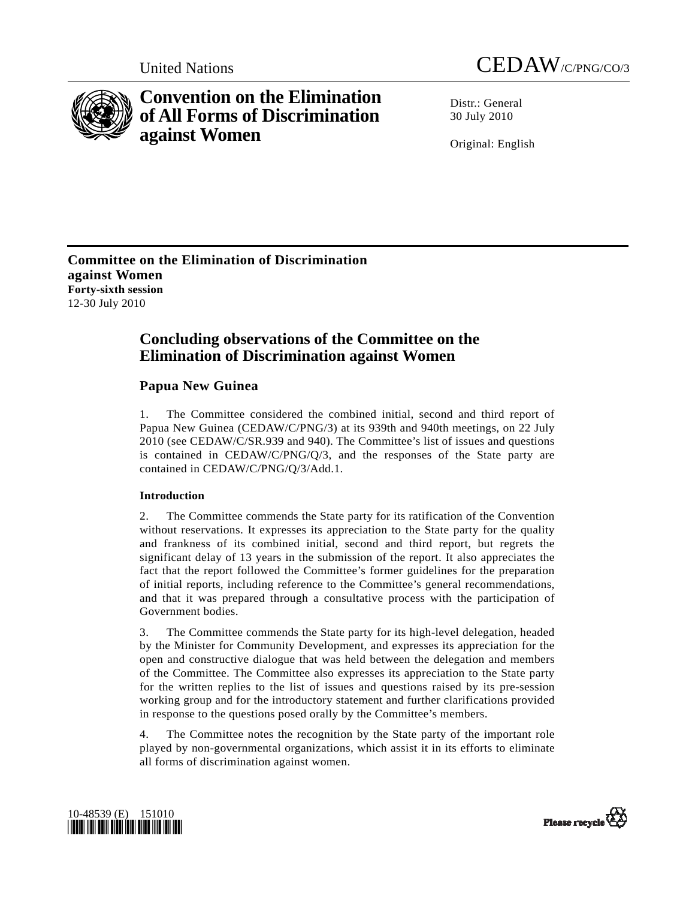



# **Convention on the Elimination of All Forms of Discrimination against Women**

Distr · General 30 July 2010

Original: English

**Committee on the Elimination of Discrimination against Women Forty-sixth session**  12-30 July 2010

## **Concluding observations of the Committee on the Elimination of Discrimination against Women**

## **Papua New Guinea**

1. The Committee considered the combined initial, second and third report of Papua New Guinea (CEDAW/C/PNG/3) at its 939th and 940th meetings, on 22 July 2010 (see CEDAW/C/SR.939 and 940). The Committee's list of issues and questions is contained in CEDAW/C/PNG/Q/3, and the responses of the State party are contained in CEDAW/C/PNG/Q/3/Add.1.

## **Introduction**

2. The Committee commends the State party for its ratification of the Convention without reservations. It expresses its appreciation to the State party for the quality and frankness of its combined initial, second and third report, but regrets the significant delay of 13 years in the submission of the report. It also appreciates the fact that the report followed the Committee's former guidelines for the preparation of initial reports, including reference to the Committee's general recommendations, and that it was prepared through a consultative process with the participation of Government bodies.

3. The Committee commends the State party for its high-level delegation, headed by the Minister for Community Development, and expresses its appreciation for the open and constructive dialogue that was held between the delegation and members of the Committee. The Committee also expresses its appreciation to the State party for the written replies to the list of issues and questions raised by its pre-session working group and for the introductory statement and further clarifications provided in response to the questions posed orally by the Committee's members.

The Committee notes the recognition by the State party of the important role played by non-governmental organizations, which assist it in its efforts to eliminate all forms of discrimination against women.



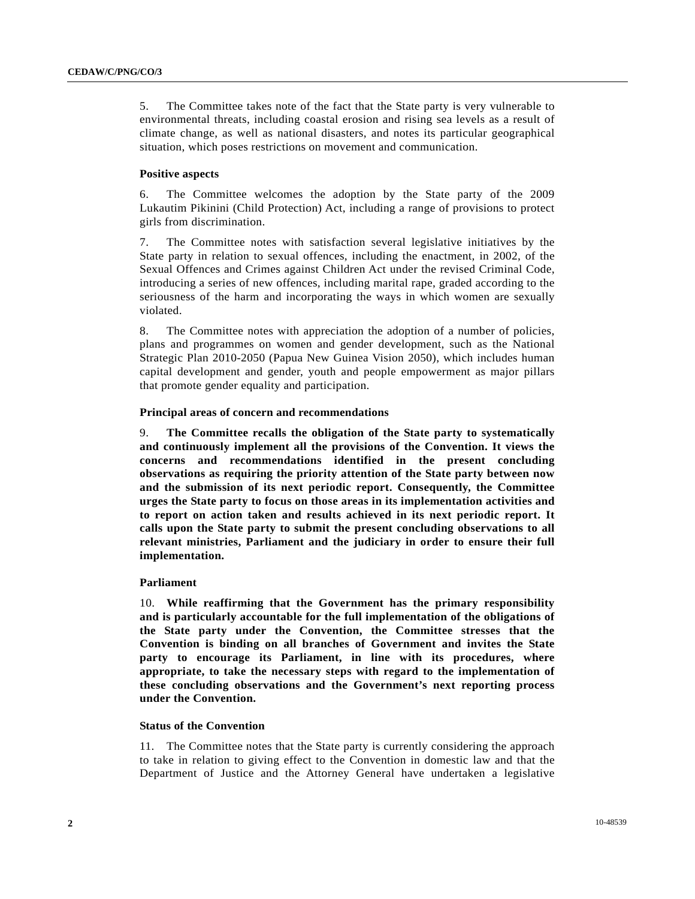5. The Committee takes note of the fact that the State party is very vulnerable to environmental threats, including coastal erosion and rising sea levels as a result of climate change, as well as national disasters, and notes its particular geographical situation, which poses restrictions on movement and communication.

## **Positive aspects**

6. The Committee welcomes the adoption by the State party of the 2009 Lukautim Pikinini (Child Protection) Act, including a range of provisions to protect girls from discrimination.

7. The Committee notes with satisfaction several legislative initiatives by the State party in relation to sexual offences, including the enactment, in 2002, of the Sexual Offences and Crimes against Children Act under the revised Criminal Code, introducing a series of new offences, including marital rape, graded according to the seriousness of the harm and incorporating the ways in which women are sexually violated.

8. The Committee notes with appreciation the adoption of a number of policies, plans and programmes on women and gender development, such as the National Strategic Plan 2010-2050 (Papua New Guinea Vision 2050), which includes human capital development and gender, youth and people empowerment as major pillars that promote gender equality and participation.

## **Principal areas of concern and recommendations**

9. **The Committee recalls the obligation of the State party to systematically and continuously implement all the provisions of the Convention. It views the concerns and recommendations identified in the present concluding observations as requiring the priority attention of the State party between now and the submission of its next periodic report. Consequently, the Committee urges the State party to focus on those areas in its implementation activities and to report on action taken and results achieved in its next periodic report. It calls upon the State party to submit the present concluding observations to all relevant ministries, Parliament and the judiciary in order to ensure their full implementation.**

## **Parliament**

10. **While reaffirming that the Government has the primary responsibility and is particularly accountable for the full implementation of the obligations of the State party under the Convention, the Committee stresses that the Convention is binding on all branches of Government and invites the State party to encourage its Parliament, in line with its procedures, where appropriate, to take the necessary steps with regard to the implementation of these concluding observations and the Government's next reporting process under the Convention.**

## **Status of the Convention**

11. The Committee notes that the State party is currently considering the approach to take in relation to giving effect to the Convention in domestic law and that the Department of Justice and the Attorney General have undertaken a legislative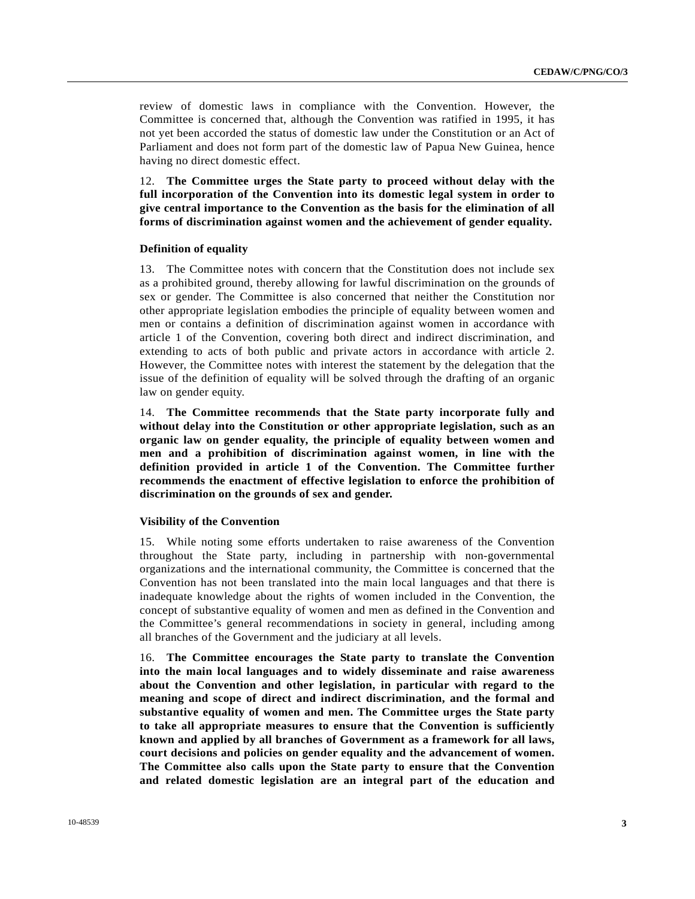review of domestic laws in compliance with the Convention. However, the Committee is concerned that, although the Convention was ratified in 1995, it has not yet been accorded the status of domestic law under the Constitution or an Act of Parliament and does not form part of the domestic law of Papua New Guinea, hence having no direct domestic effect.

12. **The Committee urges the State party to proceed without delay with the full incorporation of the Convention into its domestic legal system in order to give central importance to the Convention as the basis for the elimination of all forms of discrimination against women and the achievement of gender equality.**

#### **Definition of equality**

13. The Committee notes with concern that the Constitution does not include sex as a prohibited ground, thereby allowing for lawful discrimination on the grounds of sex or gender. The Committee is also concerned that neither the Constitution nor other appropriate legislation embodies the principle of equality between women and men or contains a definition of discrimination against women in accordance with article 1 of the Convention, covering both direct and indirect discrimination, and extending to acts of both public and private actors in accordance with article 2. However, the Committee notes with interest the statement by the delegation that the issue of the definition of equality will be solved through the drafting of an organic law on gender equity.

14. **The Committee recommends that the State party incorporate fully and without delay into the Constitution or other appropriate legislation, such as an organic law on gender equality, the principle of equality between women and men and a prohibition of discrimination against women, in line with the definition provided in article 1 of the Convention. The Committee further recommends the enactment of effective legislation to enforce the prohibition of discrimination on the grounds of sex and gender.**

#### **Visibility of the Convention**

15. While noting some efforts undertaken to raise awareness of the Convention throughout the State party, including in partnership with non-governmental organizations and the international community, the Committee is concerned that the Convention has not been translated into the main local languages and that there is inadequate knowledge about the rights of women included in the Convention, the concept of substantive equality of women and men as defined in the Convention and the Committee's general recommendations in society in general, including among all branches of the Government and the judiciary at all levels.

16. **The Committee encourages the State party to translate the Convention into the main local languages and to widely disseminate and raise awareness about the Convention and other legislation, in particular with regard to the meaning and scope of direct and indirect discrimination, and the formal and substantive equality of women and men. The Committee urges the State party to take all appropriate measures to ensure that the Convention is sufficiently known and applied by all branches of Government as a framework for all laws, court decisions and policies on gender equality and the advancement of women. The Committee also calls upon the State party to ensure that the Convention and related domestic legislation are an integral part of the education and**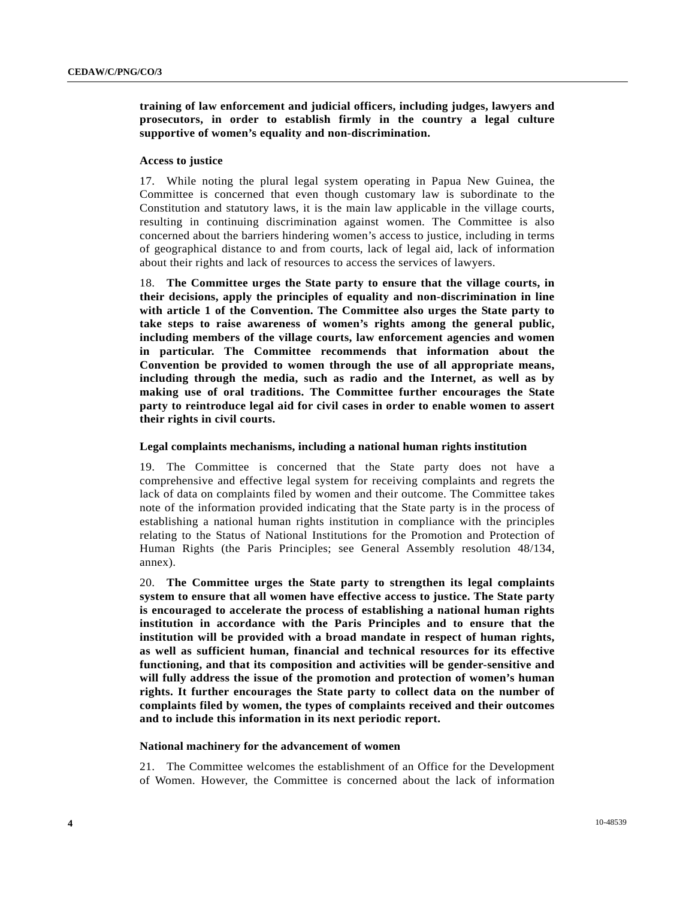## **training of law enforcement and judicial officers, including judges, lawyers and prosecutors, in order to establish firmly in the country a legal culture supportive of women's equality and non-discrimination.**

#### **Access to justice**

17. While noting the plural legal system operating in Papua New Guinea, the Committee is concerned that even though customary law is subordinate to the Constitution and statutory laws, it is the main law applicable in the village courts, resulting in continuing discrimination against women. The Committee is also concerned about the barriers hindering women's access to justice, including in terms of geographical distance to and from courts, lack of legal aid, lack of information about their rights and lack of resources to access the services of lawyers.

18. **The Committee urges the State party to ensure that the village courts, in their decisions, apply the principles of equality and non-discrimination in line with article 1 of the Convention. The Committee also urges the State party to take steps to raise awareness of women's rights among the general public, including members of the village courts, law enforcement agencies and women in particular. The Committee recommends that information about the Convention be provided to women through the use of all appropriate means, including through the media, such as radio and the Internet, as well as by making use of oral traditions. The Committee further encourages the State party to reintroduce legal aid for civil cases in order to enable women to assert their rights in civil courts.**

#### **Legal complaints mechanisms, including a national human rights institution**

19. The Committee is concerned that the State party does not have a comprehensive and effective legal system for receiving complaints and regrets the lack of data on complaints filed by women and their outcome. The Committee takes note of the information provided indicating that the State party is in the process of establishing a national human rights institution in compliance with the principles relating to the Status of National Institutions for the Promotion and Protection of Human Rights (the Paris Principles; see General Assembly resolution 48/134, annex).

20. **The Committee urges the State party to strengthen its legal complaints system to ensure that all women have effective access to justice. The State party is encouraged to accelerate the process of establishing a national human rights institution in accordance with the Paris Principles and to ensure that the institution will be provided with a broad mandate in respect of human rights, as well as sufficient human, financial and technical resources for its effective functioning, and that its composition and activities will be gender-sensitive and will fully address the issue of the promotion and protection of women's human rights. It further encourages the State party to collect data on the number of complaints filed by women, the types of complaints received and their outcomes and to include this information in its next periodic report.**

#### **National machinery for the advancement of women**

21. The Committee welcomes the establishment of an Office for the Development of Women. However, the Committee is concerned about the lack of information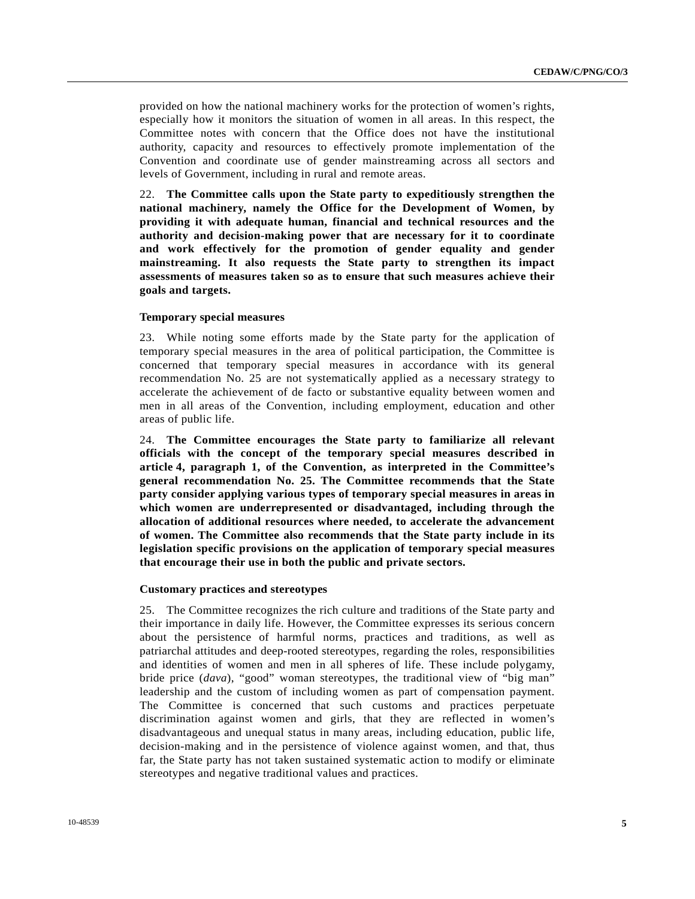provided on how the national machinery works for the protection of women's rights, especially how it monitors the situation of women in all areas. In this respect, the Committee notes with concern that the Office does not have the institutional authority, capacity and resources to effectively promote implementation of the Convention and coordinate use of gender mainstreaming across all sectors and levels of Government, including in rural and remote areas.

22. **The Committee calls upon the State party to expeditiously strengthen the national machinery, namely the Office for the Development of Women, by providing it with adequate human, financial and technical resources and the authority and decision-making power that are necessary for it to coordinate and work effectively for the promotion of gender equality and gender mainstreaming. It also requests the State party to strengthen its impact assessments of measures taken so as to ensure that such measures achieve their goals and targets.**

#### **Temporary special measures**

23. While noting some efforts made by the State party for the application of temporary special measures in the area of political participation, the Committee is concerned that temporary special measures in accordance with its general recommendation No. 25 are not systematically applied as a necessary strategy to accelerate the achievement of de facto or substantive equality between women and men in all areas of the Convention, including employment, education and other areas of public life.

24. **The Committee encourages the State party to familiarize all relevant officials with the concept of the temporary special measures described in article 4, paragraph 1, of the Convention, as interpreted in the Committee's general recommendation No. 25. The Committee recommends that the State party consider applying various types of temporary special measures in areas in which women are underrepresented or disadvantaged, including through the allocation of additional resources where needed, to accelerate the advancement of women. The Committee also recommends that the State party include in its legislation specific provisions on the application of temporary special measures that encourage their use in both the public and private sectors.**

#### **Customary practices and stereotypes**

25. The Committee recognizes the rich culture and traditions of the State party and their importance in daily life. However, the Committee expresses its serious concern about the persistence of harmful norms, practices and traditions, as well as patriarchal attitudes and deep-rooted stereotypes, regarding the roles, responsibilities and identities of women and men in all spheres of life. These include polygamy, bride price (*dava*), "good" woman stereotypes, the traditional view of "big man" leadership and the custom of including women as part of compensation payment. The Committee is concerned that such customs and practices perpetuate discrimination against women and girls, that they are reflected in women's disadvantageous and unequal status in many areas, including education, public life, decision-making and in the persistence of violence against women, and that, thus far, the State party has not taken sustained systematic action to modify or eliminate stereotypes and negative traditional values and practices.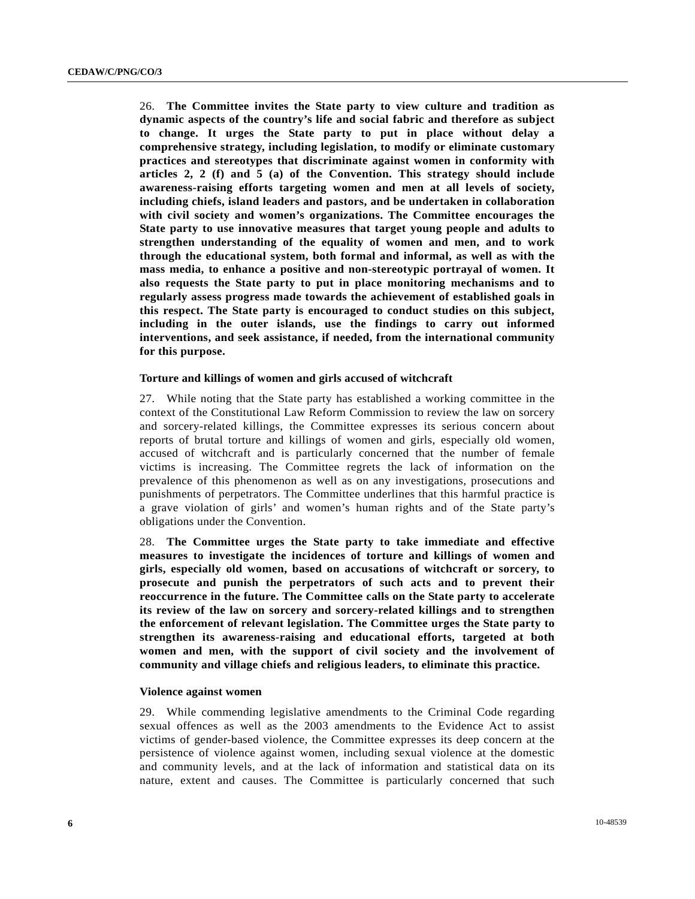26. **The Committee invites the State party to view culture and tradition as dynamic aspects of the country's life and social fabric and therefore as subject to change. It urges the State party to put in place without delay a comprehensive strategy, including legislation, to modify or eliminate customary practices and stereotypes that discriminate against women in conformity with articles 2, 2 (f) and 5 (a) of the Convention. This strategy should include awareness-raising efforts targeting women and men at all levels of society, including chiefs, island leaders and pastors, and be undertaken in collaboration with civil society and women's organizations. The Committee encourages the State party to use innovative measures that target young people and adults to strengthen understanding of the equality of women and men, and to work through the educational system, both formal and informal, as well as with the mass media, to enhance a positive and non-stereotypic portrayal of women. It also requests the State party to put in place monitoring mechanisms and to regularly assess progress made towards the achievement of established goals in this respect. The State party is encouraged to conduct studies on this subject, including in the outer islands, use the findings to carry out informed interventions, and seek assistance, if needed, from the international community for this purpose.**

#### **Torture and killings of women and girls accused of witchcraft**

27. While noting that the State party has established a working committee in the context of the Constitutional Law Reform Commission to review the law on sorcery and sorcery-related killings, the Committee expresses its serious concern about reports of brutal torture and killings of women and girls, especially old women, accused of witchcraft and is particularly concerned that the number of female victims is increasing. The Committee regrets the lack of information on the prevalence of this phenomenon as well as on any investigations, prosecutions and punishments of perpetrators. The Committee underlines that this harmful practice is a grave violation of girls' and women's human rights and of the State party's obligations under the Convention.

28. **The Committee urges the State party to take immediate and effective measures to investigate the incidences of torture and killings of women and girls, especially old women, based on accusations of witchcraft or sorcery, to prosecute and punish the perpetrators of such acts and to prevent their reoccurrence in the future. The Committee calls on the State party to accelerate its review of the law on sorcery and sorcery-related killings and to strengthen the enforcement of relevant legislation. The Committee urges the State party to strengthen its awareness-raising and educational efforts, targeted at both women and men, with the support of civil society and the involvement of community and village chiefs and religious leaders, to eliminate this practice.** 

#### **Violence against women**

29. While commending legislative amendments to the Criminal Code regarding sexual offences as well as the 2003 amendments to the Evidence Act to assist victims of gender-based violence, the Committee expresses its deep concern at the persistence of violence against women, including sexual violence at the domestic and community levels, and at the lack of information and statistical data on its nature, extent and causes. The Committee is particularly concerned that such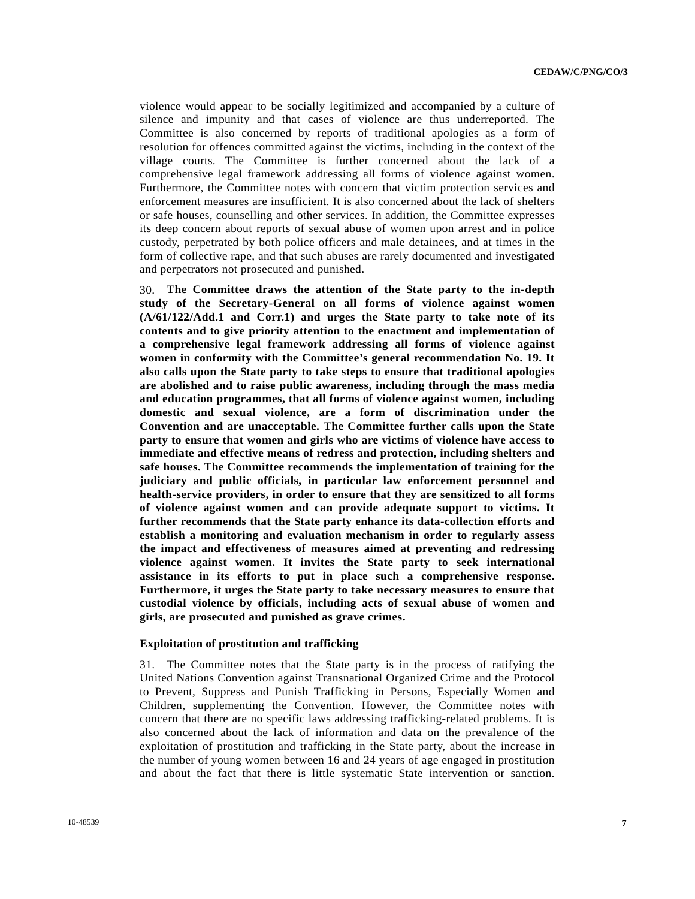violence would appear to be socially legitimized and accompanied by a culture of silence and impunity and that cases of violence are thus underreported. The Committee is also concerned by reports of traditional apologies as a form of resolution for offences committed against the victims, including in the context of the village courts. The Committee is further concerned about the lack of a comprehensive legal framework addressing all forms of violence against women. Furthermore, the Committee notes with concern that victim protection services and enforcement measures are insufficient. It is also concerned about the lack of shelters or safe houses, counselling and other services. In addition, the Committee expresses its deep concern about reports of sexual abuse of women upon arrest and in police custody, perpetrated by both police officers and male detainees, and at times in the form of collective rape, and that such abuses are rarely documented and investigated and perpetrators not prosecuted and punished.

30. **The Committee draws the attention of the State party to the in-depth study of the Secretary-General on all forms of violence against women (A/61/122/Add.1 and Corr.1) and urges the State party to take note of its contents and to give priority attention to the enactment and implementation of a comprehensive legal framework addressing all forms of violence against women in conformity with the Committee's general recommendation No. 19. It also calls upon the State party to take steps to ensure that traditional apologies are abolished and to raise public awareness, including through the mass media and education programmes, that all forms of violence against women, including domestic and sexual violence, are a form of discrimination under the Convention and are unacceptable. The Committee further calls upon the State party to ensure that women and girls who are victims of violence have access to immediate and effective means of redress and protection, including shelters and safe houses. The Committee recommends the implementation of training for the judiciary and public officials, in particular law enforcement personnel and health-service providers, in order to ensure that they are sensitized to all forms of violence against women and can provide adequate support to victims. It further recommends that the State party enhance its data-collection efforts and establish a monitoring and evaluation mechanism in order to regularly assess the impact and effectiveness of measures aimed at preventing and redressing violence against women. It invites the State party to seek international assistance in its efforts to put in place such a comprehensive response. Furthermore, it urges the State party to take necessary measures to ensure that custodial violence by officials, including acts of sexual abuse of women and girls, are prosecuted and punished as grave crimes.**

#### **Exploitation of prostitution and trafficking**

31. The Committee notes that the State party is in the process of ratifying the United Nations Convention against Transnational Organized Crime and the Protocol to Prevent, Suppress and Punish Trafficking in Persons, Especially Women and Children, supplementing the Convention. However, the Committee notes with concern that there are no specific laws addressing trafficking-related problems. It is also concerned about the lack of information and data on the prevalence of the exploitation of prostitution and trafficking in the State party, about the increase in the number of young women between 16 and 24 years of age engaged in prostitution and about the fact that there is little systematic State intervention or sanction.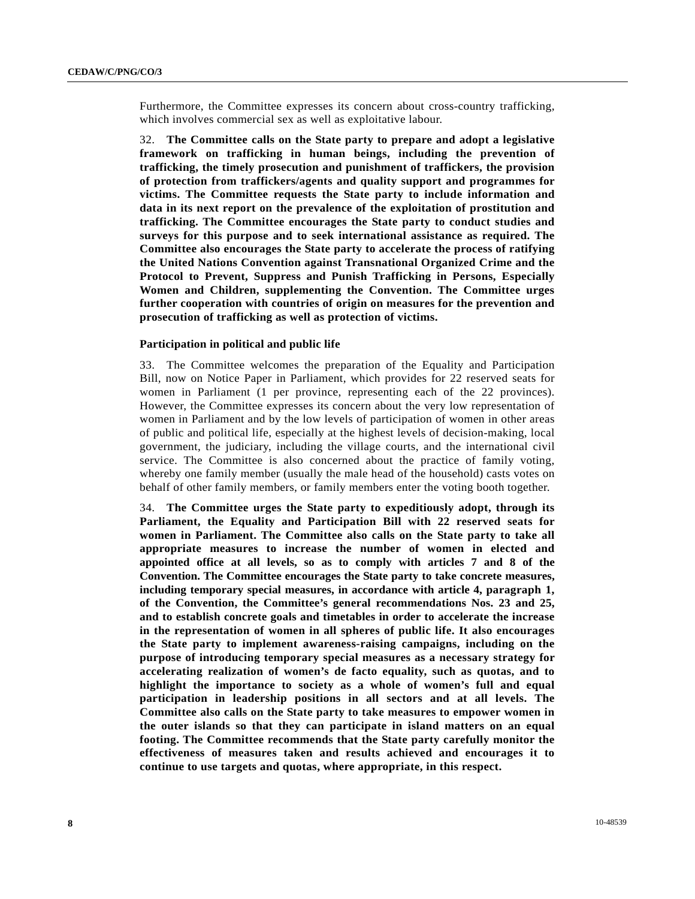Furthermore, the Committee expresses its concern about cross-country trafficking, which involves commercial sex as well as exploitative labour.

32. **The Committee calls on the State party to prepare and adopt a legislative framework on trafficking in human beings, including the prevention of trafficking, the timely prosecution and punishment of traffickers, the provision of protection from traffickers/agents and quality support and programmes for victims. The Committee requests the State party to include information and data in its next report on the prevalence of the exploitation of prostitution and trafficking. The Committee encourages the State party to conduct studies and surveys for this purpose and to seek international assistance as required. The Committee also encourages the State party to accelerate the process of ratifying the United Nations Convention against Transnational Organized Crime and the Protocol to Prevent, Suppress and Punish Trafficking in Persons, Especially Women and Children, supplementing the Convention. The Committee urges further cooperation with countries of origin on measures for the prevention and prosecution of trafficking as well as protection of victims.** 

#### **Participation in political and public life**

33. The Committee welcomes the preparation of the Equality and Participation Bill, now on Notice Paper in Parliament, which provides for 22 reserved seats for women in Parliament (1 per province, representing each of the 22 provinces). However, the Committee expresses its concern about the very low representation of women in Parliament and by the low levels of participation of women in other areas of public and political life, especially at the highest levels of decision-making, local government, the judiciary, including the village courts, and the international civil service. The Committee is also concerned about the practice of family voting, whereby one family member (usually the male head of the household) casts votes on behalf of other family members, or family members enter the voting booth together.

34. **The Committee urges the State party to expeditiously adopt, through its Parliament, the Equality and Participation Bill with 22 reserved seats for women in Parliament. The Committee also calls on the State party to take all appropriate measures to increase the number of women in elected and appointed office at all levels, so as to comply with articles 7 and 8 of the Convention. The Committee encourages the State party to take concrete measures, including temporary special measures, in accordance with article 4, paragraph 1, of the Convention, the Committee's general recommendations Nos. 23 and 25, and to establish concrete goals and timetables in order to accelerate the increase in the representation of women in all spheres of public life. It also encourages the State party to implement awareness-raising campaigns, including on the purpose of introducing temporary special measures as a necessary strategy for accelerating realization of women's de facto equality, such as quotas, and to highlight the importance to society as a whole of women's full and equal participation in leadership positions in all sectors and at all levels. The Committee also calls on the State party to take measures to empower women in the outer islands so that they can participate in island matters on an equal footing. The Committee recommends that the State party carefully monitor the effectiveness of measures taken and results achieved and encourages it to continue to use targets and quotas, where appropriate, in this respect.**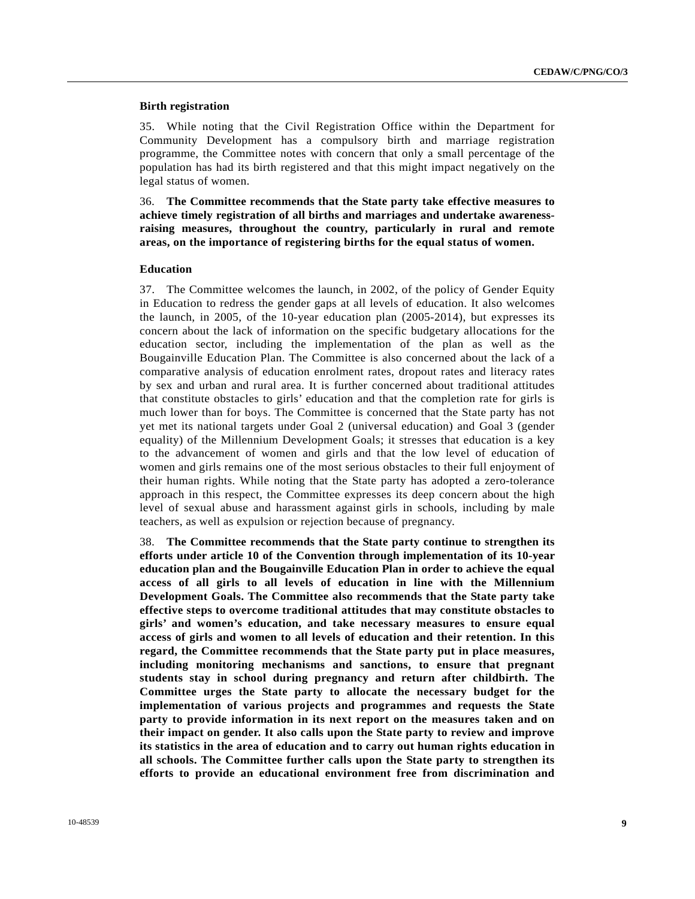#### **Birth registration**

35. While noting that the Civil Registration Office within the Department for Community Development has a compulsory birth and marriage registration programme, the Committee notes with concern that only a small percentage of the population has had its birth registered and that this might impact negatively on the legal status of women.

36. **The Committee recommends that the State party take effective measures to achieve timely registration of all births and marriages and undertake awarenessraising measures, throughout the country, particularly in rural and remote areas, on the importance of registering births for the equal status of women.** 

#### **Education**

37. The Committee welcomes the launch, in 2002, of the policy of Gender Equity in Education to redress the gender gaps at all levels of education. It also welcomes the launch, in 2005, of the 10-year education plan (2005-2014), but expresses its concern about the lack of information on the specific budgetary allocations for the education sector, including the implementation of the plan as well as the Bougainville Education Plan. The Committee is also concerned about the lack of a comparative analysis of education enrolment rates, dropout rates and literacy rates by sex and urban and rural area. It is further concerned about traditional attitudes that constitute obstacles to girls' education and that the completion rate for girls is much lower than for boys. The Committee is concerned that the State party has not yet met its national targets under Goal 2 (universal education) and Goal 3 (gender equality) of the Millennium Development Goals; it stresses that education is a key to the advancement of women and girls and that the low level of education of women and girls remains one of the most serious obstacles to their full enjoyment of their human rights. While noting that the State party has adopted a zero-tolerance approach in this respect, the Committee expresses its deep concern about the high level of sexual abuse and harassment against girls in schools, including by male teachers, as well as expulsion or rejection because of pregnancy.

38. **The Committee recommends that the State party continue to strengthen its efforts under article 10 of the Convention through implementation of its 10-year education plan and the Bougainville Education Plan in order to achieve the equal access of all girls to all levels of education in line with the Millennium Development Goals. The Committee also recommends that the State party take effective steps to overcome traditional attitudes that may constitute obstacles to girls' and women's education, and take necessary measures to ensure equal access of girls and women to all levels of education and their retention. In this regard, the Committee recommends that the State party put in place measures, including monitoring mechanisms and sanctions, to ensure that pregnant students stay in school during pregnancy and return after childbirth. The Committee urges the State party to allocate the necessary budget for the implementation of various projects and programmes and requests the State party to provide information in its next report on the measures taken and on their impact on gender. It also calls upon the State party to review and improve its statistics in the area of education and to carry out human rights education in all schools. The Committee further calls upon the State party to strengthen its efforts to provide an educational environment free from discrimination and**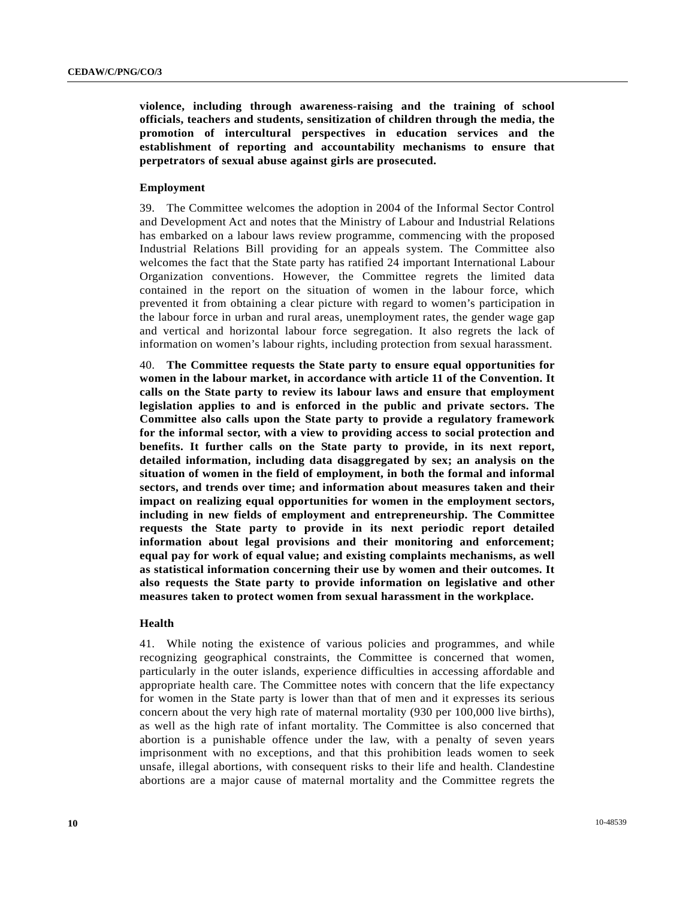**violence, including through awareness-raising and the training of school officials, teachers and students, sensitization of children through the media, the promotion of intercultural perspectives in education services and the establishment of reporting and accountability mechanisms to ensure that perpetrators of sexual abuse against girls are prosecuted.** 

#### **Employment**

39. The Committee welcomes the adoption in 2004 of the Informal Sector Control and Development Act and notes that the Ministry of Labour and Industrial Relations has embarked on a labour laws review programme, commencing with the proposed Industrial Relations Bill providing for an appeals system. The Committee also welcomes the fact that the State party has ratified 24 important International Labour Organization conventions. However, the Committee regrets the limited data contained in the report on the situation of women in the labour force, which prevented it from obtaining a clear picture with regard to women's participation in the labour force in urban and rural areas, unemployment rates, the gender wage gap and vertical and horizontal labour force segregation. It also regrets the lack of information on women's labour rights, including protection from sexual harassment.

40. **The Committee requests the State party to ensure equal opportunities for women in the labour market, in accordance with article 11 of the Convention. It calls on the State party to review its labour laws and ensure that employment legislation applies to and is enforced in the public and private sectors. The Committee also calls upon the State party to provide a regulatory framework for the informal sector, with a view to providing access to social protection and benefits. It further calls on the State party to provide, in its next report, detailed information, including data disaggregated by sex; an analysis on the situation of women in the field of employment, in both the formal and informal sectors, and trends over time; and information about measures taken and their impact on realizing equal opportunities for women in the employment sectors, including in new fields of employment and entrepreneurship. The Committee requests the State party to provide in its next periodic report detailed information about legal provisions and their monitoring and enforcement; equal pay for work of equal value; and existing complaints mechanisms, as well as statistical information concerning their use by women and their outcomes. It also requests the State party to provide information on legislative and other measures taken to protect women from sexual harassment in the workplace.** 

#### **Health**

41. While noting the existence of various policies and programmes, and while recognizing geographical constraints, the Committee is concerned that women, particularly in the outer islands, experience difficulties in accessing affordable and appropriate health care. The Committee notes with concern that the life expectancy for women in the State party is lower than that of men and it expresses its serious concern about the very high rate of maternal mortality (930 per 100,000 live births), as well as the high rate of infant mortality. The Committee is also concerned that abortion is a punishable offence under the law, with a penalty of seven years imprisonment with no exceptions, and that this prohibition leads women to seek unsafe, illegal abortions, with consequent risks to their life and health. Clandestine abortions are a major cause of maternal mortality and the Committee regrets the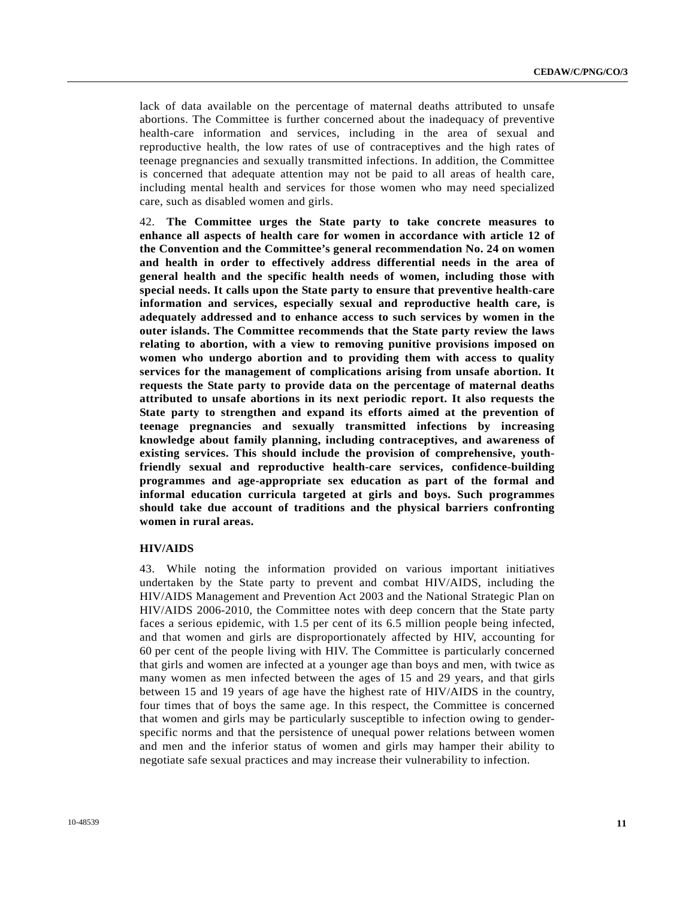lack of data available on the percentage of maternal deaths attributed to unsafe abortions. The Committee is further concerned about the inadequacy of preventive health-care information and services, including in the area of sexual and reproductive health, the low rates of use of contraceptives and the high rates of teenage pregnancies and sexually transmitted infections. In addition, the Committee is concerned that adequate attention may not be paid to all areas of health care, including mental health and services for those women who may need specialized care, such as disabled women and girls.

42. **The Committee urges the State party to take concrete measures to enhance all aspects of health care for women in accordance with article 12 of the Convention and the Committee's general recommendation No. 24 on women and health in order to effectively address differential needs in the area of general health and the specific health needs of women, including those with special needs. It calls upon the State party to ensure that preventive health-care information and services, especially sexual and reproductive health care, is adequately addressed and to enhance access to such services by women in the outer islands. The Committee recommends that the State party review the laws relating to abortion, with a view to removing punitive provisions imposed on women who undergo abortion and to providing them with access to quality services for the management of complications arising from unsafe abortion. It requests the State party to provide data on the percentage of maternal deaths attributed to unsafe abortions in its next periodic report. It also requests the State party to strengthen and expand its efforts aimed at the prevention of teenage pregnancies and sexually transmitted infections by increasing knowledge about family planning, including contraceptives, and awareness of existing services. This should include the provision of comprehensive, youthfriendly sexual and reproductive health-care services, confidence-building programmes and age-appropriate sex education as part of the formal and informal education curricula targeted at girls and boys. Such programmes should take due account of traditions and the physical barriers confronting women in rural areas.** 

## **HIV/AIDS**

43. While noting the information provided on various important initiatives undertaken by the State party to prevent and combat HIV/AIDS, including the HIV/AIDS Management and Prevention Act 2003 and the National Strategic Plan on HIV/AIDS 2006-2010, the Committee notes with deep concern that the State party faces a serious epidemic, with 1.5 per cent of its 6.5 million people being infected, and that women and girls are disproportionately affected by HIV, accounting for 60 per cent of the people living with HIV. The Committee is particularly concerned that girls and women are infected at a younger age than boys and men, with twice as many women as men infected between the ages of 15 and 29 years, and that girls between 15 and 19 years of age have the highest rate of HIV/AIDS in the country, four times that of boys the same age. In this respect, the Committee is concerned that women and girls may be particularly susceptible to infection owing to genderspecific norms and that the persistence of unequal power relations between women and men and the inferior status of women and girls may hamper their ability to negotiate safe sexual practices and may increase their vulnerability to infection.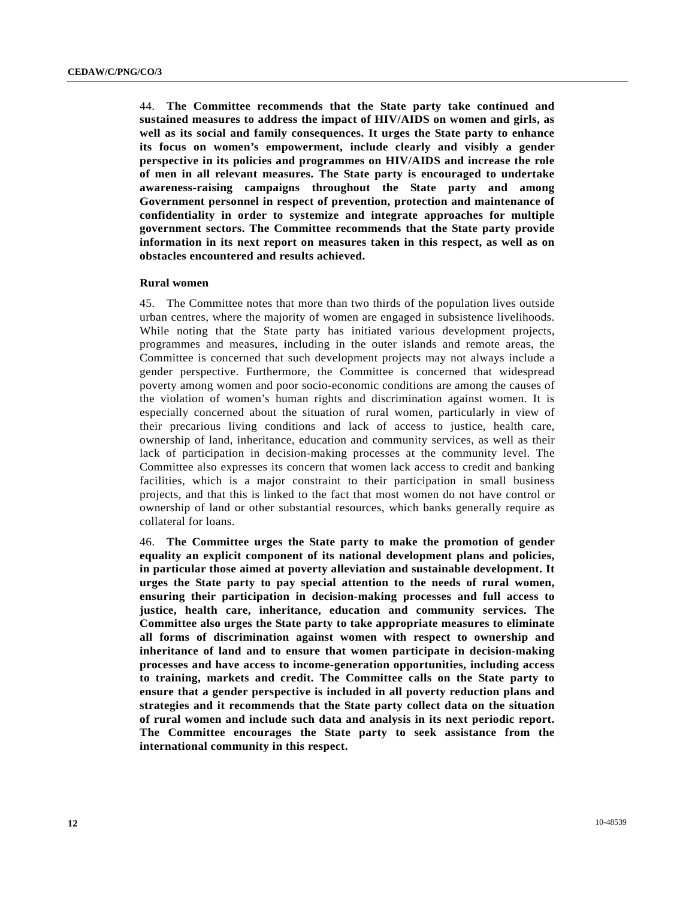44. **The Committee recommends that the State party take continued and sustained measures to address the impact of HIV/AIDS on women and girls, as well as its social and family consequences. It urges the State party to enhance its focus on women's empowerment, include clearly and visibly a gender perspective in its policies and programmes on HIV/AIDS and increase the role of men in all relevant measures. The State party is encouraged to undertake awareness-raising campaigns throughout the State party and among Government personnel in respect of prevention, protection and maintenance of confidentiality in order to systemize and integrate approaches for multiple government sectors. The Committee recommends that the State party provide information in its next report on measures taken in this respect, as well as on obstacles encountered and results achieved.** 

#### **Rural women**

45. The Committee notes that more than two thirds of the population lives outside urban centres, where the majority of women are engaged in subsistence livelihoods. While noting that the State party has initiated various development projects, programmes and measures, including in the outer islands and remote areas, the Committee is concerned that such development projects may not always include a gender perspective. Furthermore, the Committee is concerned that widespread poverty among women and poor socio-economic conditions are among the causes of the violation of women's human rights and discrimination against women. It is especially concerned about the situation of rural women, particularly in view of their precarious living conditions and lack of access to justice, health care, ownership of land, inheritance, education and community services, as well as their lack of participation in decision-making processes at the community level. The Committee also expresses its concern that women lack access to credit and banking facilities, which is a major constraint to their participation in small business projects, and that this is linked to the fact that most women do not have control or ownership of land or other substantial resources, which banks generally require as collateral for loans.

46. **The Committee urges the State party to make the promotion of gender equality an explicit component of its national development plans and policies, in particular those aimed at poverty alleviation and sustainable development. It urges the State party to pay special attention to the needs of rural women, ensuring their participation in decision-making processes and full access to justice, health care, inheritance, education and community services. The Committee also urges the State party to take appropriate measures to eliminate all forms of discrimination against women with respect to ownership and inheritance of land and to ensure that women participate in decision-making processes and have access to income-generation opportunities, including access to training, markets and credit. The Committee calls on the State party to ensure that a gender perspective is included in all poverty reduction plans and strategies and it recommends that the State party collect data on the situation of rural women and include such data and analysis in its next periodic report. The Committee encourages the State party to seek assistance from the international community in this respect.**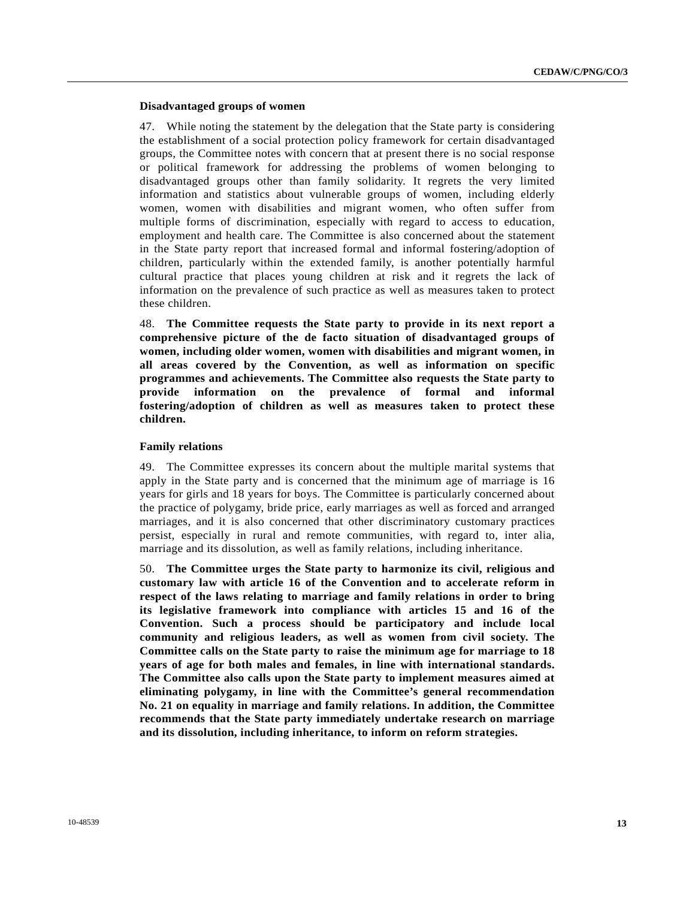## **Disadvantaged groups of women**

47. While noting the statement by the delegation that the State party is considering the establishment of a social protection policy framework for certain disadvantaged groups, the Committee notes with concern that at present there is no social response or political framework for addressing the problems of women belonging to disadvantaged groups other than family solidarity. It regrets the very limited information and statistics about vulnerable groups of women, including elderly women, women with disabilities and migrant women, who often suffer from multiple forms of discrimination, especially with regard to access to education, employment and health care. The Committee is also concerned about the statement in the State party report that increased formal and informal fostering/adoption of children, particularly within the extended family, is another potentially harmful cultural practice that places young children at risk and it regrets the lack of information on the prevalence of such practice as well as measures taken to protect these children.

48. **The Committee requests the State party to provide in its next report a comprehensive picture of the de facto situation of disadvantaged groups of women, including older women, women with disabilities and migrant women, in all areas covered by the Convention, as well as information on specific programmes and achievements. The Committee also requests the State party to provide information on the prevalence of formal and informal fostering/adoption of children as well as measures taken to protect these children.** 

#### **Family relations**

49. The Committee expresses its concern about the multiple marital systems that apply in the State party and is concerned that the minimum age of marriage is 16 years for girls and 18 years for boys. The Committee is particularly concerned about the practice of polygamy, bride price, early marriages as well as forced and arranged marriages, and it is also concerned that other discriminatory customary practices persist, especially in rural and remote communities, with regard to, inter alia, marriage and its dissolution, as well as family relations, including inheritance.

50. **The Committee urges the State party to harmonize its civil, religious and customary law with article 16 of the Convention and to accelerate reform in respect of the laws relating to marriage and family relations in order to bring its legislative framework into compliance with articles 15 and 16 of the Convention. Such a process should be participatory and include local community and religious leaders, as well as women from civil society. The Committee calls on the State party to raise the minimum age for marriage to 18 years of age for both males and females, in line with international standards. The Committee also calls upon the State party to implement measures aimed at eliminating polygamy, in line with the Committee's general recommendation No. 21 on equality in marriage and family relations. In addition, the Committee recommends that the State party immediately undertake research on marriage and its dissolution, including inheritance, to inform on reform strategies.**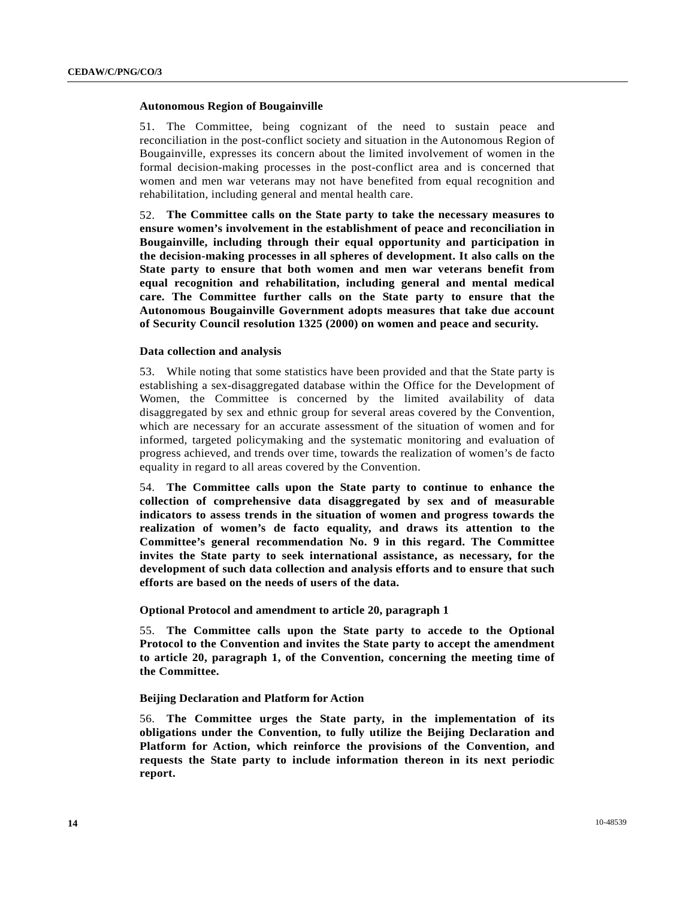#### **Autonomous Region of Bougainville**

51. The Committee, being cognizant of the need to sustain peace and reconciliation in the post-conflict society and situation in the Autonomous Region of Bougainville, expresses its concern about the limited involvement of women in the formal decision-making processes in the post-conflict area and is concerned that women and men war veterans may not have benefited from equal recognition and rehabilitation, including general and mental health care.

52. **The Committee calls on the State party to take the necessary measures to ensure women's involvement in the establishment of peace and reconciliation in Bougainville, including through their equal opportunity and participation in the decision-making processes in all spheres of development. It also calls on the State party to ensure that both women and men war veterans benefit from equal recognition and rehabilitation, including general and mental medical care. The Committee further calls on the State party to ensure that the Autonomous Bougainville Government adopts measures that take due account of Security Council resolution 1325 (2000) on women and peace and security.** 

#### **Data collection and analysis**

53. While noting that some statistics have been provided and that the State party is establishing a sex-disaggregated database within the Office for the Development of Women, the Committee is concerned by the limited availability of data disaggregated by sex and ethnic group for several areas covered by the Convention, which are necessary for an accurate assessment of the situation of women and for informed, targeted policymaking and the systematic monitoring and evaluation of progress achieved, and trends over time, towards the realization of women's de facto equality in regard to all areas covered by the Convention.

54. **The Committee calls upon the State party to continue to enhance the collection of comprehensive data disaggregated by sex and of measurable indicators to assess trends in the situation of women and progress towards the realization of women's de facto equality, and draws its attention to the Committee's general recommendation No. 9 in this regard. The Committee invites the State party to seek international assistance, as necessary, for the development of such data collection and analysis efforts and to ensure that such efforts are based on the needs of users of the data.** 

 **Optional Protocol and amendment to article 20, paragraph 1** 

55. **The Committee calls upon the State party to accede to the Optional Protocol to the Convention and invites the State party to accept the amendment to article 20, paragraph 1, of the Convention, concerning the meeting time of the Committee.** 

## **Beijing Declaration and Platform for Action**

56. **The Committee urges the State party, in the implementation of its obligations under the Convention, to fully utilize the Beijing Declaration and Platform for Action, which reinforce the provisions of the Convention, and requests the State party to include information thereon in its next periodic report.**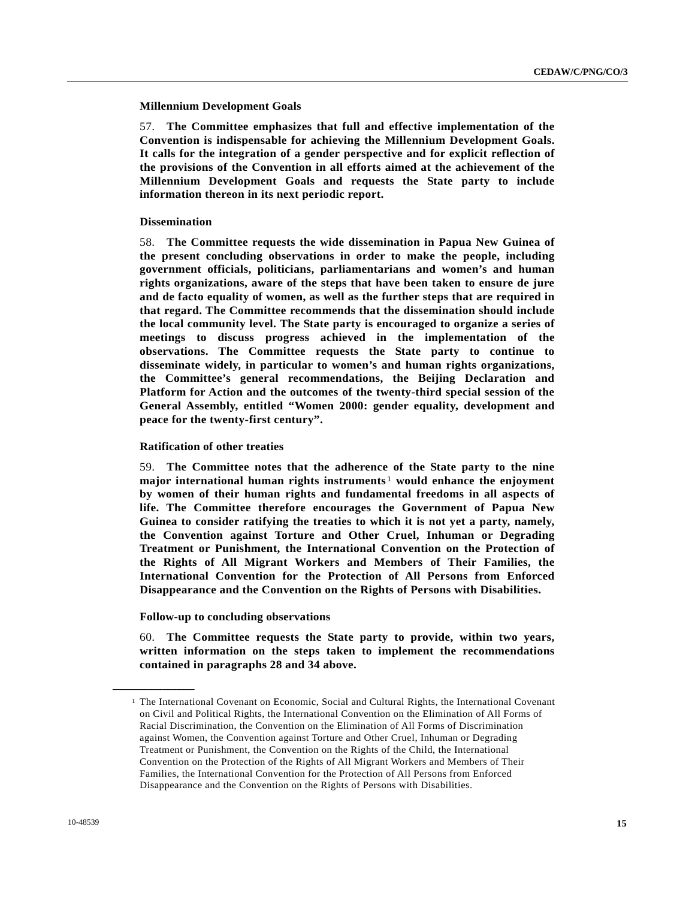#### **Millennium Development Goals**

57. **The Committee emphasizes that full and effective implementation of the Convention is indispensable for achieving the Millennium Development Goals. It calls for the integration of a gender perspective and for explicit reflection of the provisions of the Convention in all efforts aimed at the achievement of the Millennium Development Goals and requests the State party to include information thereon in its next periodic report.** 

#### **Dissemination**

58. **The Committee requests the wide dissemination in Papua New Guinea of the present concluding observations in order to make the people, including government officials, politicians, parliamentarians and women's and human rights organizations, aware of the steps that have been taken to ensure de jure and de facto equality of women, as well as the further steps that are required in that regard. The Committee recommends that the dissemination should include the local community level. The State party is encouraged to organize a series of meetings to discuss progress achieved in the implementation of the observations. The Committee requests the State party to continue to disseminate widely, in particular to women's and human rights organizations, the Committee's general recommendations, the Beijing Declaration and Platform for Action and the outcomes of the twenty-third special session of the General Assembly, entitled "Women 2000: gender equality, development and peace for the twenty-first century".** 

#### **Ratification of other treaties**

59. **The Committee notes that the adherence of the State party to the nine major international human rights instruments**[1](#page-14-0) **would enhance the enjoyment by women of their human rights and fundamental freedoms in all aspects of life. The Committee therefore encourages the Government of Papua New Guinea to consider ratifying the treaties to which it is not yet a party, namely, the Convention against Torture and Other Cruel, Inhuman or Degrading Treatment or Punishment, the International Convention on the Protection of the Rights of All Migrant Workers and Members of Their Families, the International Convention for the Protection of All Persons from Enforced Disappearance and the Convention on the Rights of Persons with Disabilities.** 

#### **Follow-up to concluding observations**

<span id="page-14-0"></span>**\_\_\_\_\_\_\_\_\_\_\_\_\_\_\_\_\_\_** 

60. **The Committee requests the State party to provide, within two years, written information on the steps taken to implement the recommendations contained in paragraphs 28 and 34 above.**

<sup>1</sup> The International Covenant on Economic, Social and Cultural Rights, the International Covenant on Civil and Political Rights, the International Convention on the Elimination of All Forms of Racial Discrimination, the Convention on the Elimination of All Forms of Discrimination against Women, the Convention against Torture and Other Cruel, Inhuman or Degrading Treatment or Punishment, the Convention on the Rights of the Child, the International Convention on the Protection of the Rights of All Migrant Workers and Members of Their Families, the International Convention for the Protection of All Persons from Enforced Disappearance and the Convention on the Rights of Persons with Disabilities.